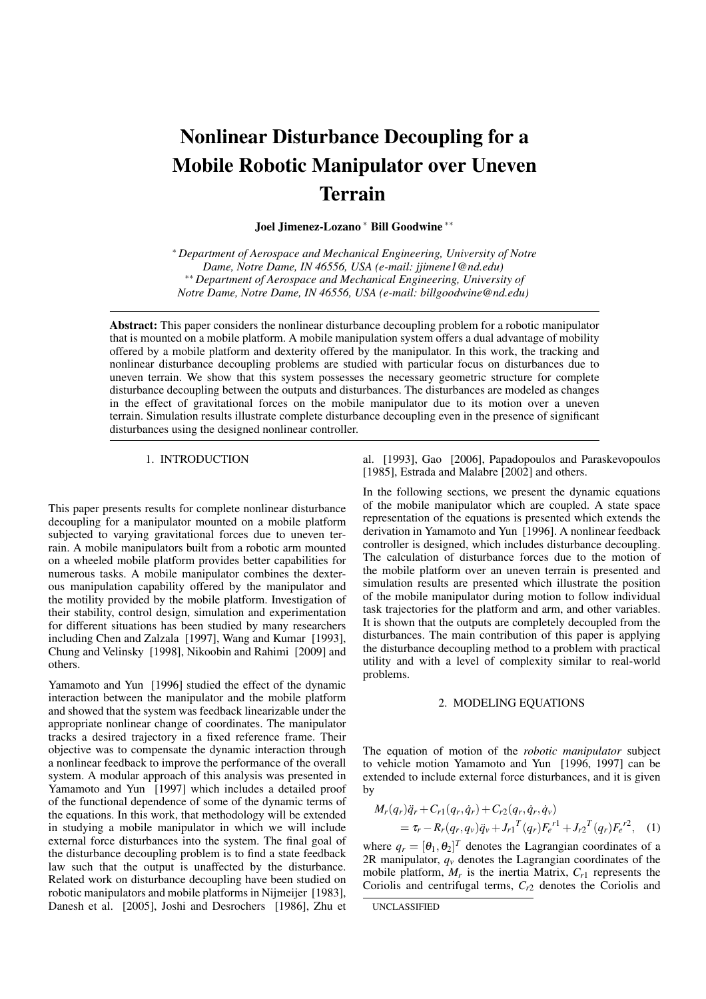# Nonlinear Disturbance Decoupling for a Mobile Robotic Manipulator over Uneven Terrain

Joel Jimenez-Lozano <sup>∗</sup> Bill Goodwine ∗∗

<sup>∗</sup> *Department of Aerospace and Mechanical Engineering, University of Notre Dame, Notre Dame, IN 46556, USA (e-mail: jjimene1@nd.edu)* ∗∗ *Department of Aerospace and Mechanical Engineering, University of Notre Dame, Notre Dame, IN 46556, USA (e-mail: billgoodwine@nd.edu)*

Abstract: This paper considers the nonlinear disturbance decoupling problem for a robotic manipulator that is mounted on a mobile platform. A mobile manipulation system offers a dual advantage of mobility offered by a mobile platform and dexterity offered by the manipulator. In this work, the tracking and nonlinear disturbance decoupling problems are studied with particular focus on disturbances due to uneven terrain. We show that this system possesses the necessary geometric structure for complete disturbance decoupling between the outputs and disturbances. The disturbances are modeled as changes in the effect of gravitational forces on the mobile manipulator due to its motion over a uneven terrain. Simulation results illustrate complete disturbance decoupling even in the presence of significant disturbances using the designed nonlinear controller.

### 1. INTRODUCTION

This paper presents results for complete nonlinear disturbance decoupling for a manipulator mounted on a mobile platform subjected to varying gravitational forces due to uneven terrain. A mobile manipulators built from a robotic arm mounted on a wheeled mobile platform provides better capabilities for numerous tasks. A mobile manipulator combines the dexterous manipulation capability offered by the manipulator and the motility provided by the mobile platform. Investigation of their stability, control design, simulation and experimentation for different situations has been studied by many researchers including Chen and Zalzala [1997], Wang and Kumar [1993], Chung and Velinsky [1998], Nikoobin and Rahimi [2009] and others.

Yamamoto and Yun [1996] studied the effect of the dynamic interaction between the manipulator and the mobile platform and showed that the system was feedback linearizable under the appropriate nonlinear change of coordinates. The manipulator tracks a desired trajectory in a fixed reference frame. Their objective was to compensate the dynamic interaction through a nonlinear feedback to improve the performance of the overall system. A modular approach of this analysis was presented in Yamamoto and Yun [1997] which includes a detailed proof of the functional dependence of some of the dynamic terms of the equations. In this work, that methodology will be extended in studying a mobile manipulator in which we will include external force disturbances into the system. The final goal of the disturbance decoupling problem is to find a state feedback law such that the output is unaffected by the disturbance. Related work on disturbance decoupling have been studied on robotic manipulators and mobile platforms in Nijmeijer [1983], Danesh et al. [2005], Joshi and Desrochers [1986], Zhu et

al. [1993], Gao [2006], Papadopoulos and Paraskevopoulos [1985], Estrada and Malabre [2002] and others.

In the following sections, we present the dynamic equations of the mobile manipulator which are coupled. A state space representation of the equations is presented which extends the derivation in Yamamoto and Yun [1996]. A nonlinear feedback controller is designed, which includes disturbance decoupling. The calculation of disturbance forces due to the motion of the mobile platform over an uneven terrain is presented and simulation results are presented which illustrate the position of the mobile manipulator during motion to follow individual task trajectories for the platform and arm, and other variables. It is shown that the outputs are completely decoupled from the disturbances. The main contribution of this paper is applying the disturbance decoupling method to a problem with practical utility and with a level of complexity similar to real-world problems.

## 2. MODELING EQUATIONS

The equation of motion of the *robotic manipulator* subject to vehicle motion Yamamoto and Yun [1996, 1997] can be extended to include external force disturbances, and it is given by

$$
M_r(q_r)\ddot{q}_r + C_{r1}(q_r, \dot{q}_r) + C_{r2}(q_r, \dot{q}_r, \dot{q}_v)
$$
  
=  $\tau_r - R_r(q_r, q_v)\ddot{q}_v + J_{r1}^T(q_r)F_e^{r1} + J_{r2}^T(q_r)F_e^{r2}$ , (1)

where  $q_r = [\theta_1, \theta_2]^T$  denotes the Lagrangian coordinates of a 2R manipulator,  $q<sub>v</sub>$  denotes the Lagrangian coordinates of the mobile platform,  $M_r$  is the inertia Matrix,  $C_{r1}$  represents the Coriolis and centrifugal terms, *Cr*<sup>2</sup> denotes the Coriolis and

UNCLASSIFIED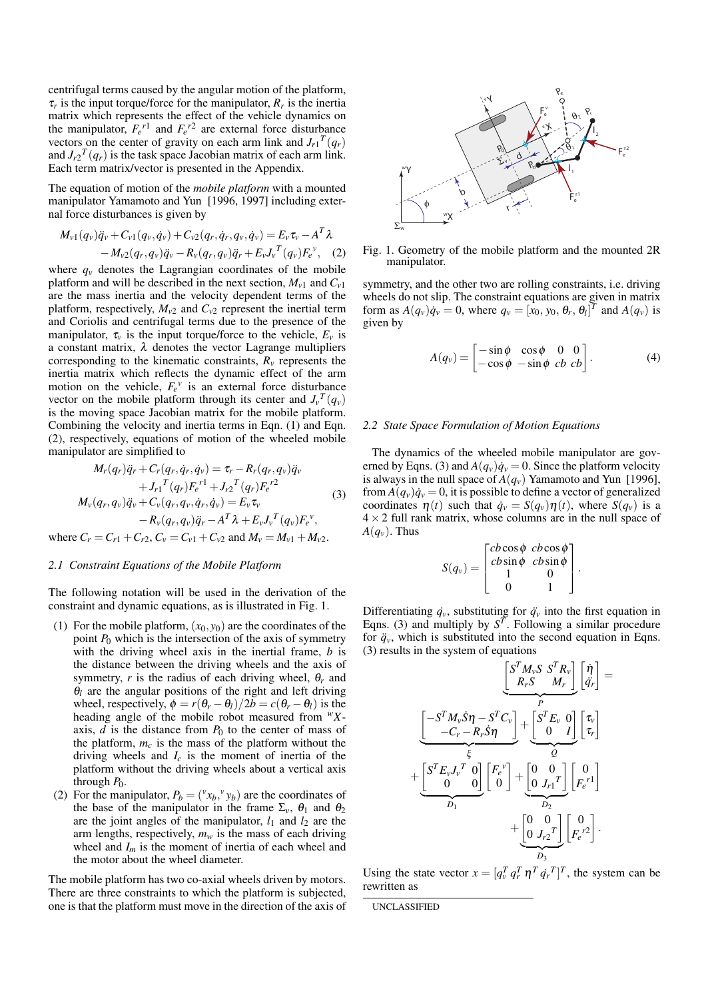centrifugal terms caused by the angular motion of the platform,  $\tau_r$  is the input torque/force for the manipulator,  $R_r$  is the inertia matrix which represents the effect of the vehicle dynamics on the manipulator,  $F_e^{r1}$  and  $F_e^{r2}$  are external force disturbance vectors on the center of gravity on each arm link and  $J_{r1}^T(q_r)$ and  $J_{r2}^T(q_r)$  is the task space Jacobian matrix of each arm link. Each term matrix/vector is presented in the Appendix.

The equation of motion of the *mobile platform* with a mounted manipulator Yamamoto and Yun [1996, 1997] including external force disturbances is given by

$$
M_{v1}(q_v)\ddot{q}_v + C_{v1}(q_v,\dot{q}_v) + C_{v2}(q_r,\dot{q}_r,q_v,\dot{q}_v) = E_v \tau_v - A^T \lambda - M_{v2}(q_r,q_v)\ddot{q}_v - R_v(q_r,q_v)\ddot{q}_r + E_v J_v^T(q_v)F_e^v, \quad (2)
$$

where  $q<sub>v</sub>$  denotes the Lagrangian coordinates of the mobile platform and will be described in the next section,  $M_{v1}$  and  $C_{v1}$ are the mass inertia and the velocity dependent terms of the platform, respectively,  $M_{v2}$  and  $C_{v2}$  represent the inertial term and Coriolis and centrifugal terms due to the presence of the manipulator,  $\tau_v$  is the input torque/force to the vehicle,  $E_v$  is a constant matrix,  $\lambda$  denotes the vector Lagrange multipliers corresponding to the kinematic constraints,  $R<sub>v</sub>$  represents the inertia matrix which reflects the dynamic effect of the arm motion on the vehicle,  $F_e^{\nu}$  is an external force disturbance vector on the mobile platform through its center and  $J_v^T(q_v)$ is the moving space Jacobian matrix for the mobile platform. Combining the velocity and inertia terms in Eqn. (1) and Eqn. (2), respectively, equations of motion of the wheeled mobile manipulator are simplified to

$$
M_r(q_r)\ddot{q}_r + C_r(q_r, \dot{q}_r, \dot{q}_v) = \tau_r - R_r(q_r, q_v)\ddot{q}_v + J_{r1}{}^T(q_r)F_e^{\ r1} + J_{r2}{}^T(q_r)F_e^{\ r2} M_v(q_r, q_v)\ddot{q}_v + C_v(q_r, q_v, \dot{q}_r, \dot{q}_v) = E_v\tau_v - R_v(q_r, q_v)\ddot{q}_r - A^T\lambda + E_vJ_v{}^T(q_v)F_e^{\ v},
$$

where  $C_r = C_{r1} + C_{r2}$ ,  $C_v = C_{v1} + C_{v2}$  and  $M_v = M_{v1} + M_{v2}$ .

## *2.1 Constraint Equations of the Mobile Platform*

The following notation will be used in the derivation of the constraint and dynamic equations, as is illustrated in Fig. 1.

- (1) For the mobile platform,  $(x_0, y_0)$  are the coordinates of the point  $P_0$  which is the intersection of the axis of symmetry with the driving wheel axis in the inertial frame, *b* is the distance between the driving wheels and the axis of symmetry,  $r$  is the radius of each driving wheel,  $\theta_r$  and  $\theta_l$  are the angular positions of the right and left driving wheel, respectively,  $\phi = r(\theta_r - \theta_l)/2b = c(\theta_r - \theta_l)$  is the heading angle of the mobile robot measured from *<sup>w</sup>X*axis,  $d$  is the distance from  $P_0$  to the center of mass of the platform,  $m_c$  is the mass of the platform without the driving wheels and *I<sup>c</sup>* is the moment of inertia of the platform without the driving wheels about a vertical axis through  $P_0$ .
- (2) For the manipulator,  $P_b = ({}^v x_b, {}^v y_b)$  are the coordinates of the base of the manipulator in the frame  $\Sigma_{\nu}$ ,  $\theta_1$  and  $\theta_2$ are the joint angles of the manipulator,  $l_1$  and  $l_2$  are the arm lengths, respectively,  $m_w$  is the mass of each driving wheel and *I<sup>m</sup>* is the moment of inertia of each wheel and the motor about the wheel diameter.

The mobile platform has two co-axial wheels driven by motors. There are three constraints to which the platform is subjected, one is that the platform must move in the direction of the axis of



Fig. 1. Geometry of the mobile platform and the mounted 2R manipulator.

symmetry, and the other two are rolling constraints, i.e. driving wheels do not slip. The constraint equations are given in matrix form as  $A(q_v)q_v = 0$ , where  $q_v = [x_0, y_0, \theta_r, \theta_l]^T$  and  $A(q_v)$  is given by

$$
A(q_v) = \begin{bmatrix} -\sin\phi & \cos\phi & 0 & 0 \\ -\cos\phi & -\sin\phi & cb & cb \end{bmatrix}.
$$
 (4)

# *2.2 State Space Formulation of Motion Equations*

The dynamics of the wheeled mobile manipulator are governed by Eqns. (3) and  $A(q_v) \dot{q}_v = 0$ . Since the platform velocity is always in the null space of  $A(q_v)$  Yamamoto and Yun [1996], from  $A(q_v) \dot{q}_v = 0$ , it is possible to define a vector of generalized coordinates  $\eta(t)$  such that  $\dot{q}_v = S(q_v)\eta(t)$ , where  $S(q_v)$  is a  $4 \times 2$  full rank matrix, whose columns are in the null space of  $A(q_v)$ . Thus  $\overline{r}$  $\overline{a}$ 

$$
S(q_v) = \begin{bmatrix} cb\cos\phi & cb\cos\phi \\ cb\sin\phi & cb\sin\phi \\ 1 & 0 \\ 0 & 1 \end{bmatrix}.
$$

Differentiating  $\dot{q}_v$ , substituting for  $\ddot{q}_v$  into the first equation in Eqns. (3) and multiply by  $S^T$ . Following a similar procedure for  $\ddot{q}_v$ , which is substituted into the second equation in Eqns. (3) results in the system of equations  $\overline{a}$ ·  $\overline{a}$ 

$$
\underbrace{\begin{bmatrix} S^T M_v S & S^T R_v \\ R_r S & M_r \end{bmatrix}}_{P} \begin{bmatrix} \dot{\eta} \\ \dot{q}_r \end{bmatrix} =
$$
\n
$$
\underbrace{\begin{bmatrix} -S^T M_v \dot{S} \eta - S^T C_v \\ -C_r - R_r \dot{S} \eta \end{bmatrix}}_{\xi} + \underbrace{\begin{bmatrix} S^T E_v & 0 \\ 0 & I \end{bmatrix}}_{D_1} \begin{bmatrix} \tau_v \\ \tau_r \end{bmatrix}}_{D_2} + \underbrace{\begin{bmatrix} S^T E_v J_v^T & 0 \\ 0 & 0 \end{bmatrix}}_{D_3} \begin{bmatrix} P_e \\ P_e \end{bmatrix} + \underbrace{\begin{bmatrix} 0 & 0 \\ 0 & J_{r1} \end{bmatrix}}_{D_3} \begin{bmatrix} 0 \\ P_e \end{bmatrix} \begin{bmatrix} 0 \\ P_e \end{bmatrix}.
$$

Using the state vector  $x = [q_v^T q_r^T \eta^T \dot{q}_r^T]^T$ , the system can be rewritten as

UNCLASSIFIED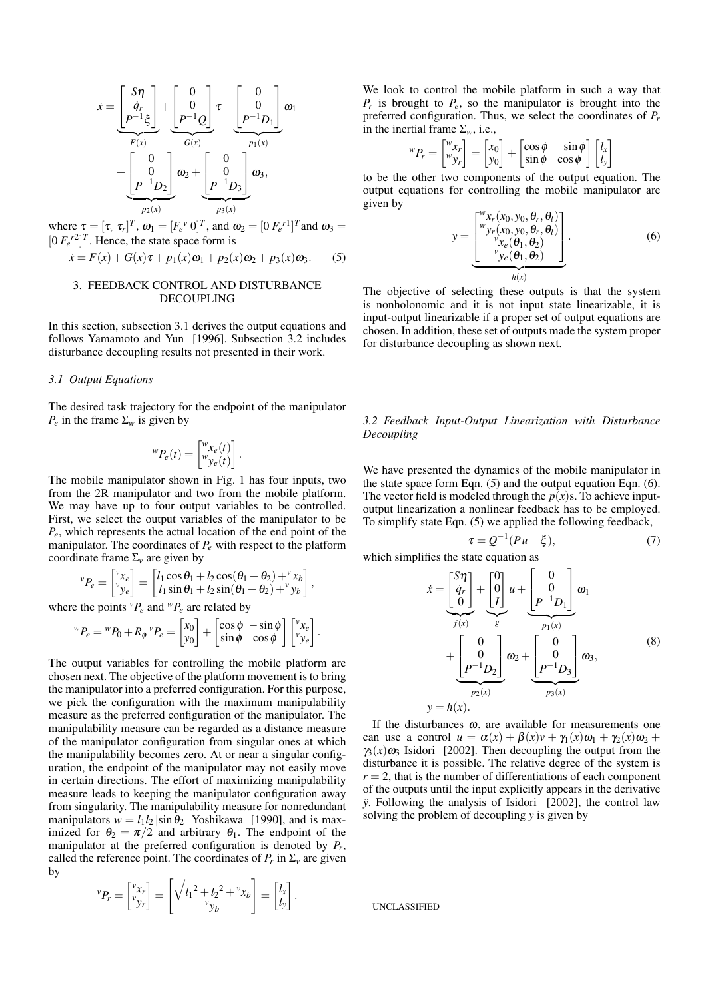$$
\dot{x} = \underbrace{\begin{bmatrix} S\eta \\ \dot{q}_r \\ P^{-1}\xi \end{bmatrix}}_{F(x)} + \underbrace{\begin{bmatrix} 0 \\ 0 \\ P^{-1}Q \end{bmatrix}}_{G(x)} \underbrace{\tau + \begin{bmatrix} 0 \\ 0 \\ P^{-1}D_1 \end{bmatrix}}_{P_1(x)} \omega_1 + \underbrace{\begin{bmatrix} 0 \\ 0 \\ P^{-1}D_2 \end{bmatrix}}_{P_2(x)} \omega_2 + \underbrace{\begin{bmatrix} 0 \\ 0 \\ P^{-1}D_3 \end{bmatrix}}_{P_3(x)} \omega_3,
$$

where  $\tau = [\tau_v \ \tau_r]^T$ ,  $\omega_1 = [F_e^{\ \nu} \ 0]^T$ , and  $\omega_2 = [0 \ F_e^{\ \ r1}]^T$  and  $\omega_3 =$  $[0 \tF<sub>e</sub><sup>r2</sup>]<sup>T</sup>$ . Hence, the state space form is

$$
\dot{x} = F(x) + G(x)\tau + p_1(x)\omega_1 + p_2(x)\omega_2 + p_3(x)\omega_3.
$$
 (5)

## 3. FEEDBACK CONTROL AND DISTURBANCE DECOUPLING

In this section, subsection 3.1 derives the output equations and follows Yamamoto and Yun [1996]. Subsection 3.2 includes disturbance decoupling results not presented in their work.

# *3.1 Output Equations*

The desired task trajectory for the endpoint of the manipulator *P<sub>e</sub>* in the frame  $\Sigma_w$  is given by

$$
{}^{w}P_e(t) = \begin{bmatrix} {}^{w}x_e(t) \\ {}^{w}y_e(t) \end{bmatrix}.
$$

The mobile manipulator shown in Fig. 1 has four inputs, two from the 2R manipulator and two from the mobile platform. We may have up to four output variables to be controlled. First, we select the output variables of the manipulator to be *Pe*, which represents the actual location of the end point of the manipulator. The coordinates of *P<sup>e</sup>* with respect to the platform coordinate frame  $\Sigma_{\nu}$  are given by

$$
{}^{v}P_{e} = \begin{bmatrix} {}^{v}x_{e} \\ {}^{v}y_{e} \end{bmatrix} = \begin{bmatrix} l_{1}\cos\theta_{1} + l_{2}\cos(\theta_{1} + \theta_{2}) + {}^{v}x_{b} \\ l_{1}\sin\theta_{1} + l_{2}\sin(\theta_{1} + \theta_{2}) + {}^{v}y_{b} \end{bmatrix},
$$

where the points  ${}^v P_e$  and  ${}^w P_e$  are related by

$$
{}^{w}P_{e} = {}^{w}P_{0} + R_{\phi} {}^{v}P_{e} = \begin{bmatrix} x_{0} \\ y_{0} \end{bmatrix} + \begin{bmatrix} \cos \phi & -\sin \phi \\ \sin \phi & \cos \phi \end{bmatrix} \begin{bmatrix} {}^{v}x_{e} \\ {}^{v}y_{e} \end{bmatrix}.
$$

The output variables for controlling the mobile platform are chosen next. The objective of the platform movement is to bring the manipulator into a preferred configuration. For this purpose, we pick the configuration with the maximum manipulability measure as the preferred configuration of the manipulator. The manipulability measure can be regarded as a distance measure of the manipulator configuration from singular ones at which the manipulability becomes zero. At or near a singular configuration, the endpoint of the manipulator may not easily move in certain directions. The effort of maximizing manipulability measure leads to keeping the manipulator configuration away from singularity. The manipulability measure for nonredundant manipulators  $w = l_1 l_2 |\sin \theta_2|$  Yoshikawa [1990], and is maximized for  $\theta_2 = \pi/2$  and arbitrary  $\theta_1$ . The endpoint of the manipulator at the preferred configuration is denoted by *P<sup>r</sup>* , called the reference point. The coordinates of  $P_r$  in  $\Sigma_v$  are given by  $\mathbf{r}$ 1

$$
{}^{v}P_{r} = \begin{bmatrix} {}^{v}x_{r} \\ {}^{v}y_{r} \end{bmatrix} = \begin{bmatrix} \sqrt{l_{1}^{2} + l_{2}^{2}} + {}^{v}x_{b} \\ {}^{v}y_{b} \end{bmatrix} = \begin{bmatrix} l_{x} \\ l_{y} \end{bmatrix}.
$$

We look to control the mobile platform in such a way that  $P_r$  is brought to  $P_e$ , so the manipulator is brought into the preferred configuration. Thus, we select the coordinates of *P<sup>r</sup>* in the inertial frame  $\Sigma_w$ , i.e.,  $\overline{a}$ ·  $\overline{a}$ 

$$
{}^{w}P_{r} = \begin{bmatrix} {}^{w}x_{r} \\ {}^{w}y_{r} \end{bmatrix} = \begin{bmatrix} x_{0} \\ y_{0} \end{bmatrix} + \begin{bmatrix} \cos\phi & -\sin\phi \\ \sin\phi & \cos\phi \end{bmatrix} \begin{bmatrix} l_{x} \\ l_{y} \end{bmatrix}
$$

to be the other two components of the output equation. The output equations for controlling the mobile manipulator are given by  $\overline{r}$  $\overline{a}$ 

$$
y = \underbrace{\begin{bmatrix} w_{x_r}(x_0, y_0, \theta_r, \theta_l) \\ w_{y_r}(x_0, y_0, \theta_r, \theta_l) \\ v_{x_\ell}(\theta_1, \theta_2) \\ v_{y_\ell}(\theta_1, \theta_2) \end{bmatrix}}_{h(x)}.
$$
\n(6)

The objective of selecting these outputs is that the system is nonholonomic and it is not input state linearizable, it is input-output linearizable if a proper set of output equations are chosen. In addition, these set of outputs made the system proper for disturbance decoupling as shown next.

*3.2 Feedback Input-Output Linearization with Disturbance Decoupling*

We have presented the dynamics of the mobile manipulator in the state space form Eqn. (5) and the output equation Eqn. (6). The vector field is modeled through the  $p(x)$ s. To achieve inputoutput linearization a nonlinear feedback has to be employed. To simplify state Eqn. (5) we applied the following feedback,

$$
\tau = Q^{-1}(Pu - \xi),\tag{7}
$$

which simplifies the state equation as

$$
\dot{x} = \underbrace{\begin{bmatrix} S\eta \\ \dot{q}_r \\ 0 \end{bmatrix}}_{f(x)} + \underbrace{\begin{bmatrix} 0 \\ 0 \\ I \end{bmatrix}}_{g} u + \underbrace{\begin{bmatrix} 0 \\ 0 \\ P^{-1}D_1 \end{bmatrix}}_{p_1(x)} \omega_1 + \underbrace{\begin{bmatrix} 0 \\ 0 \\ P^{-1}D_2 \end{bmatrix}}_{p_2(x)} \omega_2 + \underbrace{\begin{bmatrix} 0 \\ 0 \\ P^{-1}D_3 \end{bmatrix}}_{p_3(x)} \omega_3,
$$
\n(8)\n
$$
y = h(x).
$$

If the disturbances  $\omega$ , are available for measurements one can use a control  $u = \alpha(x) + \beta(x)v + \gamma_1(x)\omega_1 + \gamma_2(x)\omega_2$  +  $\gamma_3(x)\omega_3$  Isidori [2002]. Then decoupling the output from the disturbance it is possible. The relative degree of the system is  $r = 2$ , that is the number of differentiations of each component of the outputs until the input explicitly appears in the derivative *y*. Following the analysis of Isidori [2002], the control law solving the problem of decoupling *y* is given by

UNCLASSIFIED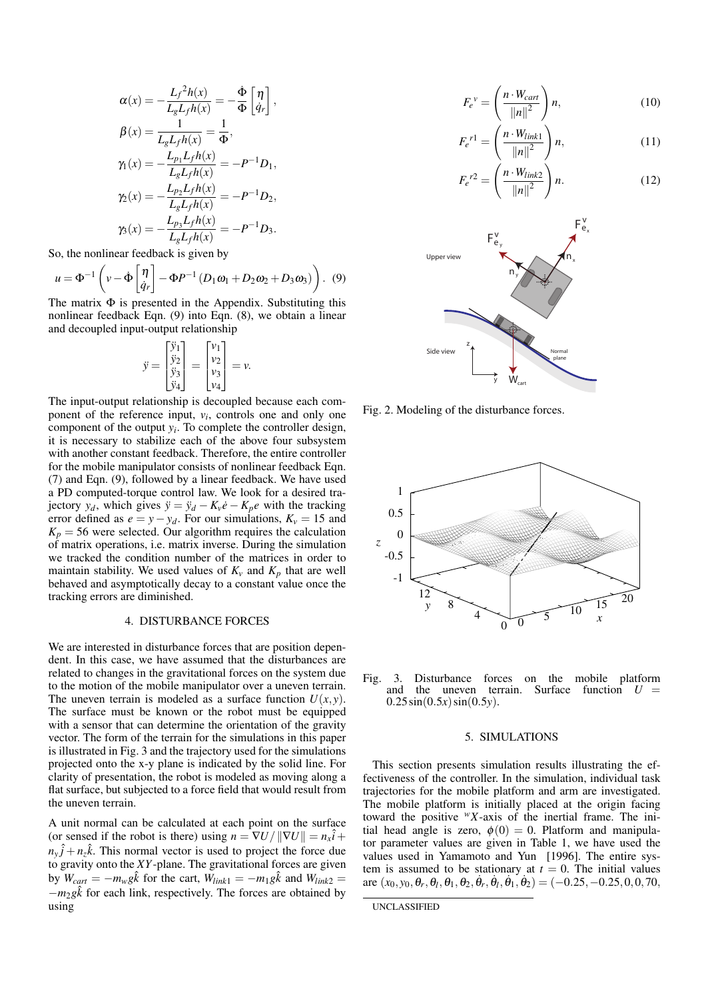$$
\alpha(x) = -\frac{L_f^2 h(x)}{L_g L_f h(x)} = -\frac{\dot{\Phi}}{\Phi} \begin{bmatrix} \eta \\ \dot{q}_r \end{bmatrix},
$$
  
\n
$$
\beta(x) = \frac{1}{L_g L_f h(x)} = \frac{1}{\Phi},
$$
  
\n
$$
\gamma_1(x) = -\frac{L_{p_1} L_f h(x)}{L_g L_f h(x)} = -P^{-1} D_1,
$$
  
\n
$$
\gamma_2(x) = -\frac{L_{p_2} L_f h(x)}{L_g L_f h(x)} = -P^{-1} D_2,
$$
  
\n
$$
\gamma_3(x) = -\frac{L_{p_3} L_f h(x)}{L_g L_f h(x)} = -P^{-1} D_3.
$$

So, the nonlinear feedback is given by

$$
u = \Phi^{-1} \left( v - \Phi \begin{bmatrix} \eta \\ \dot{q}_r \end{bmatrix} - \Phi P^{-1} \left( D_1 \omega_1 + D_2 \omega_2 + D_3 \omega_3 \right) \right). \tag{9}
$$

The matrix  $\Phi$  is presented in the Appendix. Substituting this nonlinear feedback Eqn. (9) into Eqn. (8), we obtain a linear and decoupled input-output relationship

$$
\ddot{y} = \begin{bmatrix} \ddot{y}_1 \\ \ddot{y}_2 \\ \ddot{y}_3 \\ \ddot{y}_4 \end{bmatrix} = \begin{bmatrix} v_1 \\ v_2 \\ v_3 \\ v_4 \end{bmatrix} = v.
$$

The input-output relationship is decoupled because each component of the reference input, *v<sup>i</sup>* , controls one and only one component of the output  $y_i$ . To complete the controller design, it is necessary to stabilize each of the above four subsystem with another constant feedback. Therefore, the entire controller for the mobile manipulator consists of nonlinear feedback Eqn. (7) and Eqn. (9), followed by a linear feedback. We have used a PD computed-torque control law. We look for a desired trajectory  $y_d$ , which gives  $\ddot{y} = \ddot{y}_d - K_y \dot{e} - K_p e$  with the tracking error defined as  $e = y - y_d$ . For our simulations,  $K_v = 15$  and  $K_p = 56$  were selected. Our algorithm requires the calculation of matrix operations, i.e. matrix inverse. During the simulation we tracked the condition number of the matrices in order to maintain stability. We used values of  $K_v$  and  $K_p$  that are well behaved and asymptotically decay to a constant value once the tracking errors are diminished.

# 4. DISTURBANCE FORCES

We are interested in disturbance forces that are position dependent. In this case, we have assumed that the disturbances are related to changes in the gravitational forces on the system due to the motion of the mobile manipulator over a uneven terrain. The uneven terrain is modeled as a surface function  $U(x, y)$ . The surface must be known or the robot must be equipped with a sensor that can determine the orientation of the gravity vector. The form of the terrain for the simulations in this paper is illustrated in Fig. 3 and the trajectory used for the simulations projected onto the x-y plane is indicated by the solid line. For clarity of presentation, the robot is modeled as moving along a flat surface, but subjected to a force field that would result from the uneven terrain.

A unit normal can be calculated at each point on the surface (or sensed if the robot is there) using  $n = \nabla U / ||\nabla U|| = n_x \hat{i} +$  $n_y \hat{j} + n_z \hat{k}$ . This normal vector is used to project the force due to gravity onto the *XY*-plane. The gravitational forces are given by  $W_{cart} = -m_w g\hat{k}$  for the cart,  $W_{link1} = -m_1 g\hat{k}$  and  $W_{link2} =$ −*m*2*g*ˆ*k* for each link, respectively. The forces are obtained by using

$$
F_e^{\nu} = \left(\frac{n \cdot W_{cart}}{\|n\|^2}\right) n, \tag{10}
$$

$$
F_e^{\ r1} = \left(\frac{n \cdot W_{link1}}{\|n\|^2}\right)n,\tag{11}
$$

$$
F_e^{\ r2} = \left(\frac{n \cdot W_{link2}}{\|n\|^2}\right)n. \tag{12}
$$



Fig. 2. Modeling of the disturbance forces.



Fig. 3. Disturbance forces on the mobile platform and the uneven terrain. Surface function  $U =$  $0.25\sin(0.5x)\sin(0.5y)$ .

# 5. SIMULATIONS

This section presents simulation results illustrating the effectiveness of the controller. In the simulation, individual task trajectories for the mobile platform and arm are investigated. The mobile platform is initially placed at the origin facing toward the positive *<sup>w</sup>X*-axis of the inertial frame. The initial head angle is zero,  $\phi(0) = 0$ . Platform and manipulator parameter values are given in Table 1, we have used the values used in Yamamoto and Yun [1996]. The entire system is assumed to be stationary at  $t = 0$ . The initial values are  $(x_0, y_0, \theta_r, \theta_l, \theta_1, \theta_2, \dot{\theta}_r, \dot{\theta}_l, \dot{\theta}_1, \dot{\theta}_2) = (-0.25, -0.25, 0, 0, 70,$ 

UNCLASSIFIED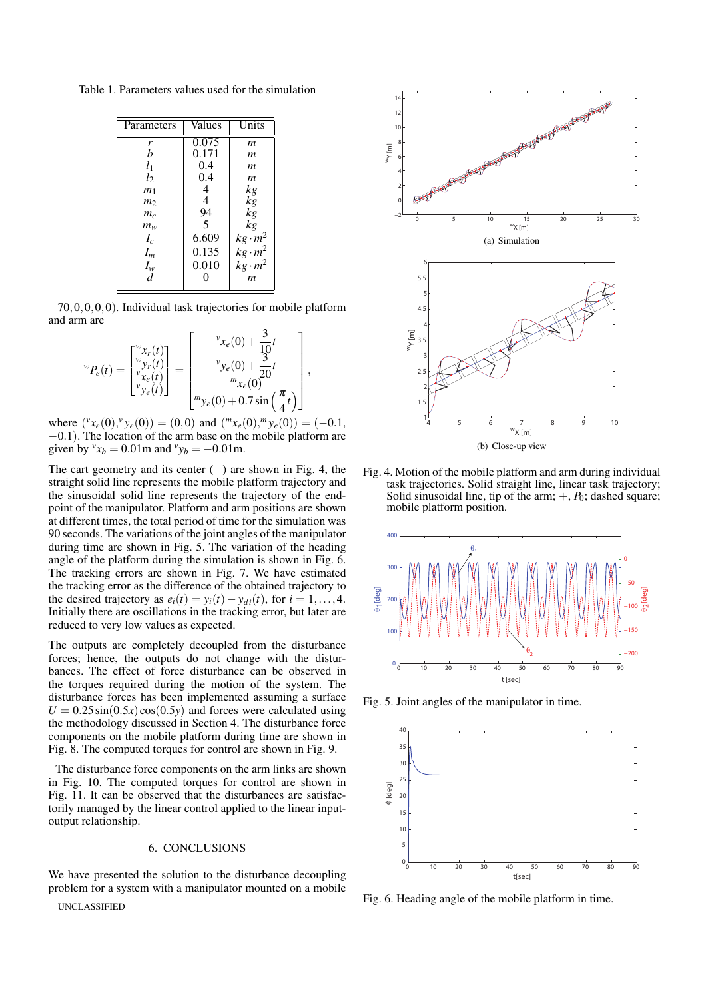Table 1. Parameters values used for the simulation

| Parameters     | Values | Units          |
|----------------|--------|----------------|
| r              | 0.075  | m              |
| h              | 0.171  | т              |
| $l_1$          | 0.4    | m              |
| $l_2$          | 0.4    | m              |
| m <sub>1</sub> | 4      | kg             |
| m <sub>2</sub> | 4      | kg             |
| $m_c$          | 94     | kg             |
| $m_w$          | 5      | kg             |
| $I_c$          | 6.609  | $kg \cdot m^2$ |
| $I_m$          | 0.135  | $kg \cdot m^2$ |
| $I_w$          | 0.010  | $kg \cdot m^2$ |
| d              |        | m              |

−70,0,0,0,0). Individual task trajectories for mobile platform and arm are  $\overline{a}$  $\overline{a}$ 

$$
{}^{w}P_{e}(t) = \begin{bmatrix} {}^{w}x_{r}(t) \\ {}^{w}y_{r}(t) \\ {}^{v}x_{e}(t) \\ {}^{v}y_{e}(t) \end{bmatrix} = \begin{bmatrix} {}^{v}x_{e}(0) + \frac{3}{10}t \\ {}^{v}y_{e}(0) + \frac{3}{20}t \\ {}^{w}x_{e}(0) \\ {}^{m}x_{e}(0) + 0.7\sin\left(\frac{\pi}{4}t\right) \end{bmatrix},
$$

where  $({}^{\nu}x_e(0), {}^{\nu}y_e(0)) = (0,0)$  and  $({}^m x_e(0), {}^m y_e(0)) = (-0.1,$ −0.1). The location of the arm base on the mobile platform are given by  $v_{x_b} = 0.01$ m and  $v_{y_b} = -0.01$ m.

The cart geometry and its center  $(+)$  are shown in Fig. 4, the straight solid line represents the mobile platform trajectory and the sinusoidal solid line represents the trajectory of the endpoint of the manipulator. Platform and arm positions are shown at different times, the total period of time for the simulation was 90 seconds. The variations of the joint angles of the manipulator during time are shown in Fig. 5. The variation of the heading angle of the platform during the simulation is shown in Fig. 6. The tracking errors are shown in Fig. 7. We have estimated the tracking error as the difference of the obtained trajectory to the desired trajectory as  $e_i(t) = y_i(t) - y_{di}(t)$ , for  $i = 1, ..., 4$ . Initially there are oscillations in the tracking error, but later are reduced to very low values as expected.

The outputs are completely decoupled from the disturbance forces; hence, the outputs do not change with the disturbances. The effect of force disturbance can be observed in the torques required during the motion of the system. The disturbance forces has been implemented assuming a surface  $U = 0.25 \sin(0.5x) \cos(0.5y)$  and forces were calculated using the methodology discussed in Section 4. The disturbance force components on the mobile platform during time are shown in Fig. 8. The computed torques for control are shown in Fig. 9.

The disturbance force components on the arm links are shown in Fig. 10. The computed torques for control are shown in Fig. 11. It can be observed that the disturbances are satisfactorily managed by the linear control applied to the linear inputoutput relationship.

### 6. CONCLUSIONS

We have presented the solution to the disturbance decoupling problem for a system with a manipulator mounted on a mobile





Fig. 4. Motion of the mobile platform and arm during individual task trajectories. Solid straight line, linear task trajectory; Solid sinusoidal line, tip of the arm;  $+, P_0$ ; dashed square; mobile platform position.



Fig. 5. Joint angles of the manipulator in time.



Fig. 6. Heading angle of the mobile platform in time.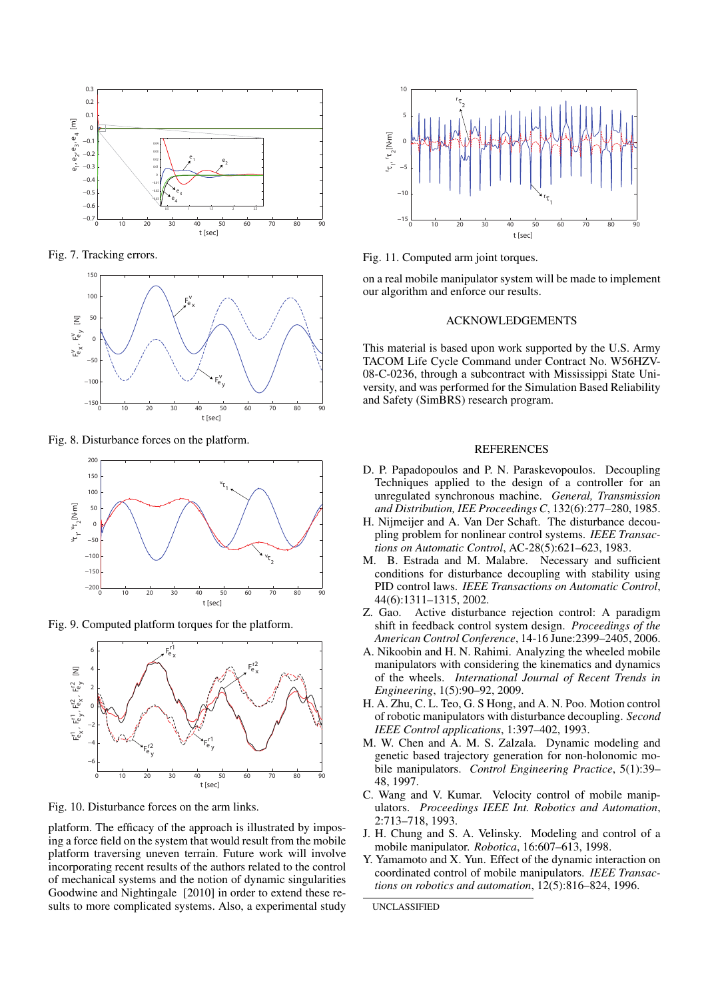

Fig. 7. Tracking errors.



Fig. 8. Disturbance forces on the platform.



Fig. 9. Computed platform torques for the platform.



Fig. 10. Disturbance forces on the arm links.

platform. The efficacy of the approach is illustrated by imposing a force field on the system that would result from the mobile platform traversing uneven terrain. Future work will involve incorporating recent results of the authors related to the control of mechanical systems and the notion of dynamic singularities Goodwine and Nightingale [2010] in order to extend these results to more complicated systems. Also, a experimental study



Fig. 11. Computed arm joint torques.

on a real mobile manipulator system will be made to implement our algorithm and enforce our results.

# ACKNOWLEDGEMENTS

This material is based upon work supported by the U.S. Army TACOM Life Cycle Command under Contract No. W56HZV-08-C-0236, through a subcontract with Mississippi State University, and was performed for the Simulation Based Reliability and Safety (SimBRS) research program.

## **REFERENCES**

- D. P. Papadopoulos and P. N. Paraskevopoulos. Decoupling Techniques applied to the design of a controller for an unregulated synchronous machine. *General, Transmission and Distribution, IEE Proceedings C*, 132(6):277–280, 1985.
- H. Nijmeijer and A. Van Der Schaft. The disturbance decoupling problem for nonlinear control systems. *IEEE Transactions on Automatic Control*, AC-28(5):621–623, 1983.
- M. B. Estrada and M. Malabre. Necessary and sufficient conditions for disturbance decoupling with stability using PID control laws. *IEEE Transactions on Automatic Control*, 44(6):1311–1315, 2002.
- Z. Gao. Active disturbance rejection control: A paradigm shift in feedback control system design. *Proceedings of the American Control Conference*, 14-16 June:2399–2405, 2006.
- A. Nikoobin and H. N. Rahimi. Analyzing the wheeled mobile manipulators with considering the kinematics and dynamics of the wheels. *International Journal of Recent Trends in Engineering*, 1(5):90–92, 2009.
- H. A. Zhu, C. L. Teo, G. S Hong, and A. N. Poo. Motion control of robotic manipulators with disturbance decoupling. *Second IEEE Control applications*, 1:397–402, 1993.
- M. W. Chen and A. M. S. Zalzala. Dynamic modeling and genetic based trajectory generation for non-holonomic mobile manipulators. *Control Engineering Practice*, 5(1):39– 48, 1997.
- C. Wang and V. Kumar. Velocity control of mobile manipulators. *Proceedings IEEE Int. Robotics and Automation*, 2:713–718, 1993.
- J. H. Chung and S. A. Velinsky. Modeling and control of a mobile manipulator. *Robotica*, 16:607–613, 1998.
- Y. Yamamoto and X. Yun. Effect of the dynamic interaction on coordinated control of mobile manipulators. *IEEE Transactions on robotics and automation*, 12(5):816–824, 1996.

UNCLASSIFIED